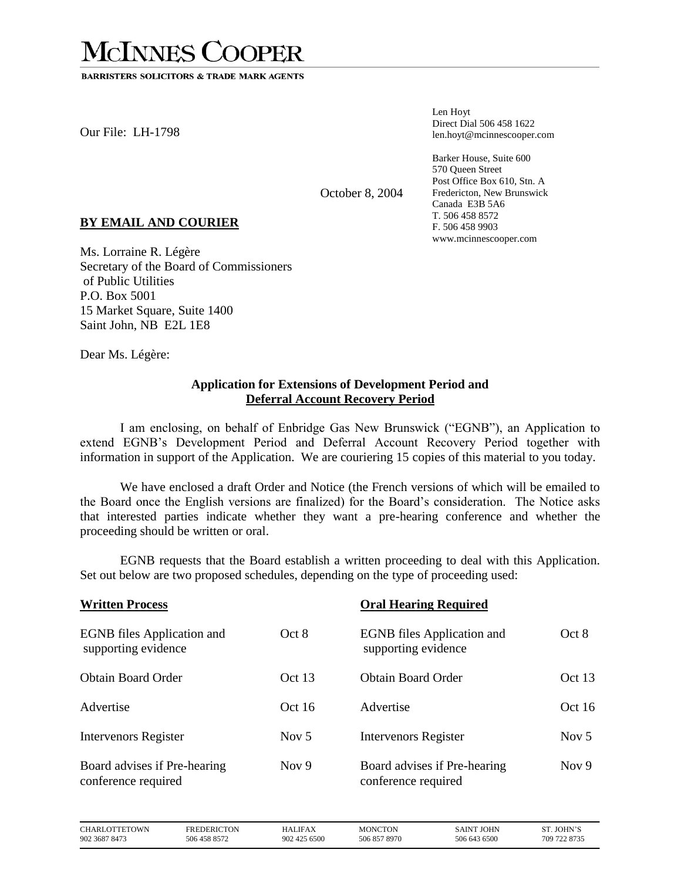## **MCINNES COOPER**

**BARRISTERS SOLICITORS & TRADE MARK AGENTS** 

Our File: LH-1798

Len Hoyt Direct Dial 506 458 1622 len.hoyt@mcinnescooper.com

Barker House, Suite 600 570 Queen Street Post Office Box 610, Stn. A Fredericton, New Brunswick Canada E3B 5A6 T. 506 458 8572 F. 506 458 9903 www.mcinnescooper.com

October 8, 2004

## **BY EMAIL AND COURIER**

Ms. Lorraine R. Légère Secretary of the Board of Commissioners of Public Utilities P.O. Box 5001 15 Market Square, Suite 1400 Saint John, NB E2L 1E8

Dear Ms. Légère:

## **Application for Extensions of Development Period and Deferral Account Recovery Period**

I am enclosing, on behalf of Enbridge Gas New Brunswick ("EGNB"), an Application to extend EGNB's Development Period and Deferral Account Recovery Period together with information in support of the Application. We are couriering 15 copies of this material to you today.

We have enclosed a draft Order and Notice (the French versions of which will be emailed to the Board once the English versions are finalized) for the Board's consideration. The Notice asks that interested parties indicate whether they want a pre-hearing conference and whether the proceeding should be written or oral.

EGNB requests that the Board establish a written proceeding to deal with this Application. Set out below are two proposed schedules, depending on the type of proceeding used:

| <b>Written Process</b>                                   | <b>Oral Hearing Required</b> |                                                          |          |
|----------------------------------------------------------|------------------------------|----------------------------------------------------------|----------|
| <b>EGNB</b> files Application and<br>supporting evidence | Oct 8                        | <b>EGNB</b> files Application and<br>supporting evidence | Oct 8    |
| <b>Obtain Board Order</b>                                | Oct 13                       | <b>Obtain Board Order</b>                                | Oct $13$ |
| Advertise                                                | Oct16                        | Advertise                                                | Oct16    |
| Intervenors Register                                     | Nov $5$                      | <b>Intervenors Register</b>                              | Nov $5$  |
| Board advises if Pre-hearing<br>conference required      | Nov $9$                      | Board advises if Pre-hearing<br>conference required      | Nov $9$  |

| <b>CHARLOTTETOWN</b><br>FREDERICTON<br>HALIFAX<br>506 458 8572<br>902 3687 8473<br>902 425 6500 | <b>MONCTON</b><br>506 857 8970 | SAINT JOHN<br>506 643 6500 | ST. JOHN'S<br>709 722 8735 |
|-------------------------------------------------------------------------------------------------|--------------------------------|----------------------------|----------------------------|
|-------------------------------------------------------------------------------------------------|--------------------------------|----------------------------|----------------------------|